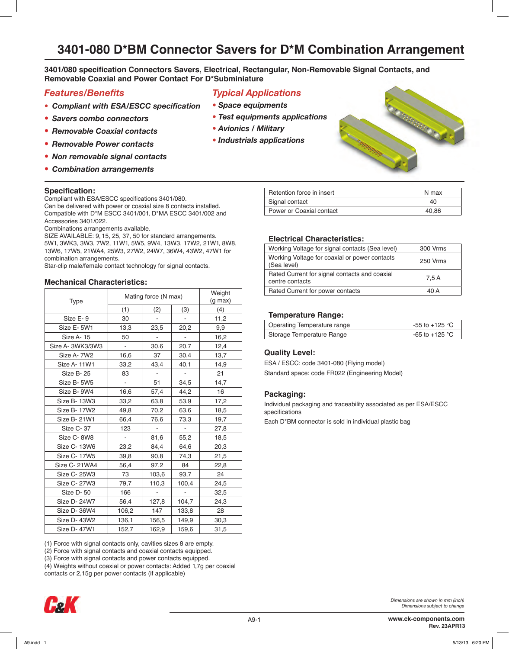**3401/080 specification Connectors Savers, Electrical, Rectangular, Non-Removable Signal Contacts, and Removable Coaxial and Power Contact For D\*Subminiature**

# *Features/Benefits*

- *• Compliant with ESA/ESCC specification*
- *• Savers combo connectors*
- *• Removable Coaxial contacts*
- *• Removable Power contacts*
- *• Non removable signal contacts*
- *• Combination arrangements*

#### **Specification:**

Compliant with ESA/ESCC specifications 3401/080.

Can be delivered with power or coaxial size 8 contacts installed. Compatible with D\*M ESCC 3401/001, D\*MA ESCC 3401/002 and Accessories 3401/022.

Combinations arrangements available.

SIZE AVAILABLE: 9, 15, 25, 37, 50 for standard arrangements. 5W1, 3WK3, 3W3, 7W2, 11W1, 5W5, 9W4, 13W3, 17W2, 21W1, 8W8, 13W6, 17W5, 21WA4, 25W3, 27W2, 24W7, 36W4, 43W2, 47W1 for combination arrangements.

Star-clip male/female contact technology for signal contacts.

#### **Mechanical Characteristics:**

| Type            | Mating force (N max) | Weight<br>$(g \max)$ |       |      |
|-----------------|----------------------|----------------------|-------|------|
|                 | (1)                  | (2)                  | (3)   | (4)  |
| Size E-9        | 30                   |                      |       | 11,2 |
| Size E-5W1      | 13,3                 | 23,5                 | 20,2  | 9,9  |
| Size A-15       | 50                   |                      |       | 16,2 |
| Size A-3WK3/3W3 | $\blacksquare$       | 30,6                 | 20,7  | 12,4 |
| Size A-7W2      | 16,6                 | 37                   | 30,4  | 13,7 |
| Size A-11W1     | 33,2                 | 43,4                 | 40,1  | 14,9 |
| Size B-25       | 83                   |                      |       | 21   |
| Size B-5W5      |                      | 51                   | 34,5  | 14,7 |
| Size B-9W4      | 16,6                 | 57,4                 | 44,2  | 16   |
| Size B-13W3     | 33,2                 | 63,8                 | 53,9  | 17,2 |
| Size B- 17W2    | 49,8                 | 70,2                 | 63,6  | 18,5 |
| Size B- 21W1    | 66,4                 | 76,6                 | 73,3  | 19,7 |
| Size C-37       | 123                  |                      |       | 27,8 |
| Size C-8W8      | $\blacksquare$       | 81,6                 | 55,2  | 18,5 |
| Size C-13W6     | 23,2                 | 84,4                 | 64,6  | 20,3 |
| Size C- 17W5    | 39,8                 | 90,8                 | 74,3  | 21,5 |
| Size C-21WA4    | 56,4                 | 97,2                 | 84    | 22,8 |
| Size C- 25W3    | 73                   | 103,6                | 93,7  | 24   |
| Size C-27W3     | 79,7                 | 110,3                | 100,4 | 24,5 |
| Size D-50       | 166                  | ÷                    |       | 32,5 |
| Size D- 24W7    | 56,4                 | 127,8                | 104,7 | 24,3 |
| Size D-36W4     | 106,2                | 147                  | 133,8 | 28   |
| Size D- 43W2    | 136,1                | 156,5                | 149,9 | 30,3 |
| Size D- 47W1    | 152,7                | 162,9                | 159,6 | 31,5 |

(1) Force with signal contacts only, cavities sizes 8 are empty.

(2) Force with signal contacts and coaxial contacts equipped.

(3) Force with signal contacts and power contacts equipped.

(4) Weights without coaxial or power contacts: Added 1,7g per coaxial contacts or 2,15g per power contacts (if applicable)



# *Typical Applications*

- *• Space equipments*
- *• Test equipments applications*
- *• Avionics / Military*
- *• Industrials applications*



| Retention force in insert | N max |
|---------------------------|-------|
| Signal contact            | 40    |
| Power or Coaxial contact  | 40.86 |

#### **Electrical Characteristics:**

| Working Voltage for signal contacts (Sea level)                  | 300 Vrms |
|------------------------------------------------------------------|----------|
| Working Voltage for coaxial or power contacts<br>(Sea level)     | 250 Vrms |
| Rated Current for signal contacts and coaxial<br>centre contacts | 7.5 A    |
| Rated Current for power contacts                                 | 40 A     |

#### **Temperature Range:**

| Operating Temperature range | -55 to +125 $^{\circ}$ C |
|-----------------------------|--------------------------|
| Storage Temperature Range   | -65 to +125 °C           |

#### **Quality Level:**

ESA / ESCC: code 3401-080 (Flying model) Standard space: code FR022 (Engineering Model)

#### **Packaging:**

Individual packaging and traceability associated as per ESA/ESCC specifications

Each D\*BM connector is sold in individual plastic bag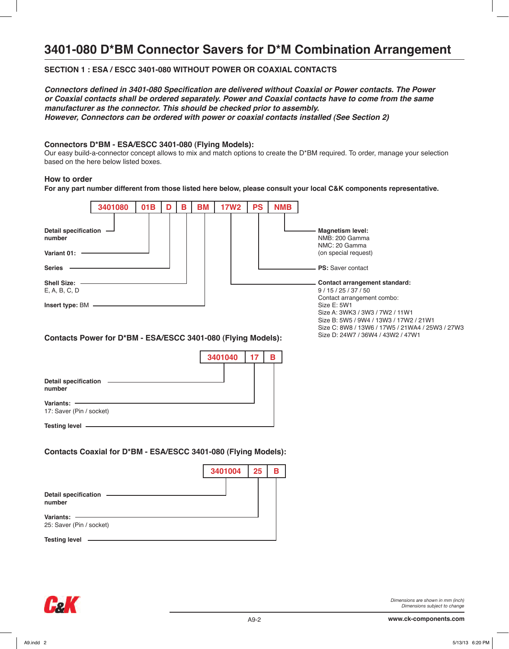# **SECTION 1 : ESA / ESCC 3401-080 WITHOUT POWER OR COAXIAL CONTACTS**

**Connectors defined in 3401-080 Specification are delivered without Coaxial or Power contacts. The Power or Coaxial contacts shall be ordered separately. Power and Coaxial contacts have to come from the same manufacturer as the connector. This should be checked prior to assembly. However, Connectors can be ordered with power or coaxial contacts installed (See Section 2)**

#### **Connectors D\*BM - ESA/ESCC 3401-080 (Flying Models):**

Our easy build-a-connector concept allows to mix and match options to create the D\*BM required. To order, manage your selection based on the here below listed boxes.

#### **How to order**

**For any part number different from those listed here below, please consult your local C&K components representative.**

|                                                                                 | 3401080 |                 | D |   |           |             |           |            |                                                                                                                                                                                  |
|---------------------------------------------------------------------------------|---------|-----------------|---|---|-----------|-------------|-----------|------------|----------------------------------------------------------------------------------------------------------------------------------------------------------------------------------|
|                                                                                 |         | 01 <sub>B</sub> |   | B | <b>BM</b> | <b>17W2</b> | <b>PS</b> | <b>NMB</b> |                                                                                                                                                                                  |
| <b>Detail specification</b><br>number<br>Variant 01:<br><b>Series</b>           |         |                 |   |   |           |             |           |            | <b>Magnetism level:</b><br>NMB: 200 Gamma<br>NMC: 20 Gamma<br>(on special request)<br><b>PS:</b> Saver contact                                                                   |
| Shell Size: -<br>E, A, B, C, D                                                  |         |                 |   |   |           |             |           |            | Contact arrangement standard:<br>9/15/25/37/50<br>Contact arrangement combo:                                                                                                     |
| Insert type: BM<br>Contacts Power for D*BM - ESA/ESCC 3401-080 (Flying Models): |         |                 |   |   |           |             |           |            | Size E: 5W1<br>Size A: 3WK3 / 3W3 / 7W2 / 11W1<br>Size B: 5W5 / 9W4 / 13W3 / 17W2 / 21W1<br>Size C: 8W8 / 13W6 / 17W5 / 21WA4 / 25W3 / 27W3<br>Size D: 24W7 / 36W4 / 43W2 / 47W1 |
| <b>Detail specification</b>                                                     |         |                 |   |   |           | 3401040     | 17        | В          |                                                                                                                                                                                  |

| vananto. |                          |
|----------|--------------------------|
|          | 17: Saver (Pin / socket) |

**Testing level**

**number Variants:** 

**Contacts Coaxial for D\*BM - ESA/ESCC 3401-080 (Flying Models):**

|                                       | 3401004 |  | 25<br>В |  |  |
|---------------------------------------|---------|--|---------|--|--|
|                                       |         |  |         |  |  |
| <b>Detail specification</b><br>number |         |  |         |  |  |
| Variants:<br>25: Saver (Pin / socket) |         |  |         |  |  |
| <b>Testing level</b>                  |         |  |         |  |  |

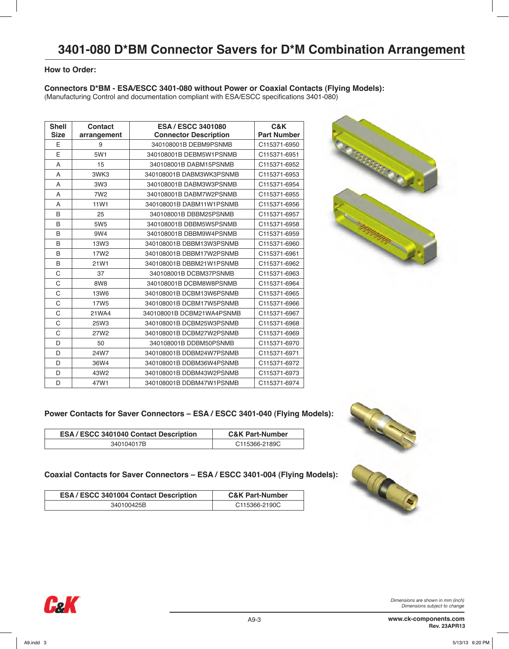# **How to Order:**

### **Connectors D\*BM - ESA/ESCC 3401-080 without Power or Coaxial Contacts (Flying Models):**

(Manufacturing Control and documentation compliant with ESA/ESCC specifications 3401-080)

| <b>Shell</b> | <b>Contact</b>   | <b>ESA / ESCC 3401080</b>    | C&K                |
|--------------|------------------|------------------------------|--------------------|
| <b>Size</b>  | arrangement      | <b>Connector Description</b> | <b>Part Number</b> |
| E            | 9                | 340108001B DEBM9PSNMB        | C115371-6950       |
| E            | 5W1              | 340108001B DEBM5W1PSNMB      | C115371-6951       |
| A            | 15               | 340108001B DABM15PSNMB       | C115371-6952       |
| A            | 3WK3             | 340108001B DABM3WK3PSNMB     | C115371-6953       |
| A            | 3W3              | 340108001B DABM3W3PSNMB      | C115371-6954       |
| A            | 7W <sub>2</sub>  | 340108001B DABM7W2PSNMB      | C115371-6955       |
| A            | 11W1             | 340108001B DABM11W1PSNMB     | C115371-6956       |
| B            | 25               | 340108001B DBBM25PSNMB       | C115371-6957       |
| B            | 5W <sub>5</sub>  | 340108001B DBBM5W5PSNMB      | C115371-6958       |
| B            | 9W4              | 340108001B DBBM9W4PSNMB      | C115371-6959       |
| B            | 13W3             | 340108001B DBBM13W3PSNMB     | C115371-6960       |
| B            | 17W <sub>2</sub> | 340108001B DBBM17W2PSNMB     | C115371-6961       |
| B            | 21W1             | 340108001B DBBM21W1PSNMB     | C115371-6962       |
| C            | 37               | 340108001B DCBM37PSNMB       | C115371-6963       |
| C            | 8W8              | 340108001B DCBM8W8PSNMB      | C115371-6964       |
| C            | <b>13W6</b>      | 340108001B DCBM13W6PSNMB     | C115371-6965       |
| C            | <b>17W5</b>      | 340108001B DCBM17W5PSNMB     | C115371-6966       |
| C            | 21WA4            | 340108001B DCBM21WA4PSNMB    | C115371-6967       |
| C            | 25W3             | 340108001B DCBM25W3PSNMB     | C115371-6968       |
| C            | 27W2             | 340108001B DCBM27W2PSNMB     | C115371-6969       |
| D            | 50               | 340108001B DDBM50PSNMB       | C115371-6970       |
| D            | 24W7             | 340108001B DDBM24W7PSNMB     | C115371-6971       |
| D            | 36W4             | 340108001B DDBM36W4PSNMB     | C115371-6972       |
| D            | 43W2             | 340108001B DDBM43W2PSNMB     | C115371-6973       |
| D            | 47W1             | 340108001B DDBM47W1PSNMB     | C115371-6974       |



# **Power Contacts for Saver Connectors – ESA / ESCC 3401-040 (Flying Models):**

| <b>ESA / ESCC 3401040 Contact Description</b> | <b>C&amp;K Part-Number</b> |
|-----------------------------------------------|----------------------------|
| 340104017B                                    | C115366-2189C              |

# **Coaxial Contacts for Saver Connectors – ESA / ESCC 3401-004 (Flying Models):**

| <b>ESA / ESCC 3401004 Contact Description</b> | <b>C&amp;K Part-Number</b> |
|-----------------------------------------------|----------------------------|
| 340100425B                                    | C115366-2190C              |







 $\mathsf{L}$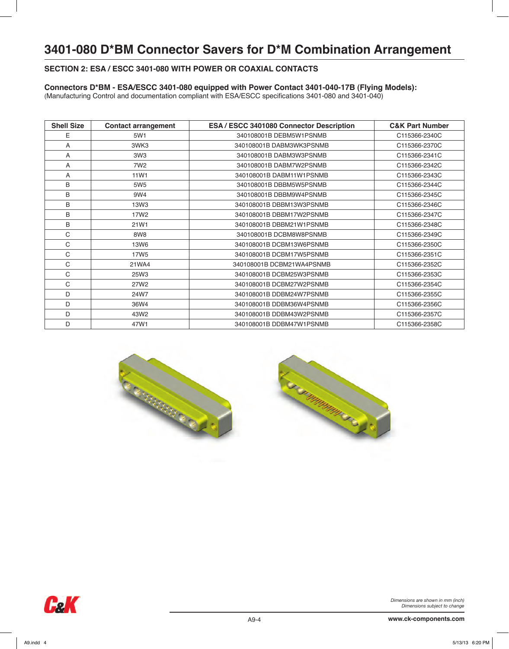# **SECTION 2: ESA / ESCC 3401-080 WITH POWER OR COAXIAL CONTACTS**

### **Connectors D\*BM - ESA/ESCC 3401-080 equipped with Power Contact 3401-040-17B (Flying Models):**

(Manufacturing Control and documentation compliant with ESA/ESCC specifications 3401-080 and 3401-040)

| <b>Shell Size</b> | <b>Contact arrangement</b> | ESA / ESCC 3401080 Connector Description | <b>C&amp;K Part Number</b> |
|-------------------|----------------------------|------------------------------------------|----------------------------|
| E                 | 5W1                        | 340108001B DEBM5W1PSNMB                  | C115366-2340C              |
| A                 | 3WK3                       | 340108001B DABM3WK3PSNMB                 | C115366-2370C              |
| A                 | 3W3                        | 340108001B DABM3W3PSNMB                  | C115366-2341C              |
| A                 | 7W <sub>2</sub>            | 340108001B DABM7W2PSNMB                  | C115366-2342C              |
| Α                 | 11 <sub>W1</sub>           | 340108001B DABM11W1PSNMB                 | C115366-2343C              |
| B                 | 5W <sub>5</sub>            | 340108001B DBBM5W5PSNMB                  | C115366-2344C              |
| B                 | 9W4                        | 340108001B DBBM9W4PSNMB                  | C115366-2345C              |
| B                 | 13W <sub>3</sub>           | 340108001B DBBM13W3PSNMB                 | C115366-2346C              |
| B                 | 17W <sub>2</sub>           | 340108001B DBBM17W2PSNMB                 | C115366-2347C              |
| B                 | 21W1                       | 340108001B DBBM21W1PSNMB                 | C115366-2348C              |
| $\mathsf{C}$      | 8W8                        | 340108001B DCBM8W8PSNMB                  | C115366-2349C              |
| C                 | 13W6                       | 340108001B DCBM13W6PSNMB                 | C115366-2350C              |
| C                 | <b>17W5</b>                | 340108001B DCBM17W5PSNMB                 | C115366-2351C              |
| C                 | 21WA4                      | 340108001B DCBM21WA4PSNMB                | C115366-2352C              |
| C                 | 25W3                       | 340108001B DCBM25W3PSNMB                 | C115366-2353C              |
| C                 | 27W2                       | 340108001B DCBM27W2PSNMB                 | C115366-2354C              |
| D                 | 24W7                       | 340108001B DDBM24W7PSNMB                 | C115366-2355C              |
| D                 | 36W4                       | 340108001B DDBM36W4PSNMB                 | C115366-2356C              |
| D                 | 43W2                       | 340108001B DDBM43W2PSNMB                 | C115366-2357C              |
| D                 | 47W1                       | 340108001B DDBM47W1PSNMB                 | C115366-2358C              |





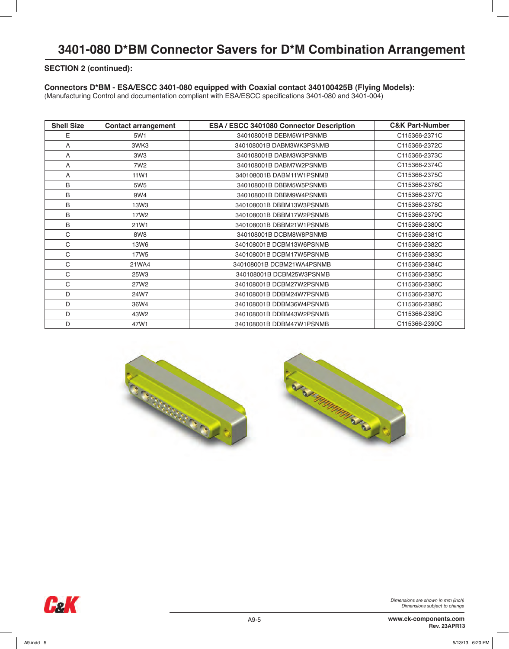#### **SECTION 2 (continued):**

### **Connectors D\*BM - ESA/ESCC 3401-080 equipped with Coaxial contact 340100425B (Flying Models):**

(Manufacturing Control and documentation compliant with ESA/ESCC specifications 3401-080 and 3401-004)

| <b>Shell Size</b> | <b>Contact arrangement</b> | ESA / ESCC 3401080 Connector Description | <b>C&amp;K Part-Number</b> |
|-------------------|----------------------------|------------------------------------------|----------------------------|
| E                 | 5W1                        | 340108001B DEBM5W1PSNMB                  | C115366-2371C              |
| A                 | 3WK3                       | 340108001B DABM3WK3PSNMB                 | C115366-2372C              |
| A                 | 3W <sub>3</sub>            | 340108001B DABM3W3PSNMB                  | C115366-2373C              |
| A                 | 7W <sub>2</sub>            | 340108001B DABM7W2PSNMB                  | C115366-2374C              |
| A                 | 11W1                       | 340108001B DABM11W1PSNMB                 | C115366-2375C              |
| B                 | 5W <sub>5</sub>            | 340108001B DBBM5W5PSNMB                  | C115366-2376C              |
| B                 | 9W4                        | 340108001B DBBM9W4PSNMB                  | C115366-2377C              |
| B                 | 13W <sub>3</sub>           | 340108001B DBBM13W3PSNMB                 | C115366-2378C              |
| B                 | 17W <sub>2</sub>           | 340108001B DBBM17W2PSNMB                 | C115366-2379C              |
| B                 | 21W1                       | 340108001B DBBM21W1PSNMB                 | C115366-2380C              |
| C                 | 8W8                        | 340108001B DCBM8W8PSNMB                  | C115366-2381C              |
| C                 | 13W6                       | 340108001B DCBM13W6PSNMB                 | C115366-2382C              |
| C                 | <b>17W5</b>                | 340108001B DCBM17W5PSNMB                 | C115366-2383C              |
| C                 | 21WA4                      | 340108001B DCBM21WA4PSNMB                | C115366-2384C              |
| C                 | 25W3                       | 340108001B DCBM25W3PSNMB                 | C115366-2385C              |
| C                 | 27W2                       | 340108001B DCBM27W2PSNMB                 | C115366-2386C              |
| D                 | 24W7                       | 340108001B DDBM24W7PSNMB                 | C115366-2387C              |
| D                 | 36W4                       | 340108001B DDBM36W4PSNMB                 | C115366-2388C              |
| D                 | 43W2                       | 340108001B DDBM43W2PSNMB                 | C115366-2389C              |
| D                 | 47W1                       | 340108001B DDBM47W1PSNMB                 | C115366-2390C              |



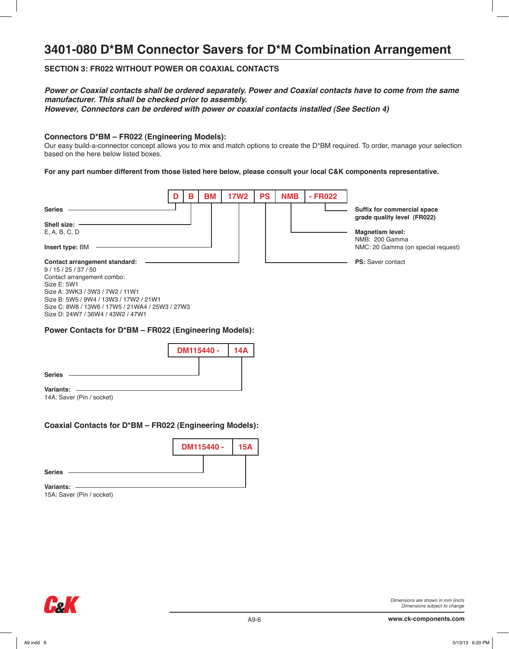# **SECTION 3: FR022 WITHOUT POWER OR COAXIAL CONTACTS**

#### **Power or Coaxial contacts shall be ordered separately. Power and Coaxial contacts have to come from the same manufacturer. This shall be checked prior to assembly. However, Connectors can be ordered with power or coaxial contacts installed (See Section 4)**

#### **Connectors D\*BM – FR022 (Engineering Models):**

Our easy build-a-connector concept allows you to mix and match options to create the D\*BM required. To order, manage your selection based on the here below listed boxes.

**For any part number different from those listed here below, please consult your local C&K components representative.**



14A: Saver (Pin / socket)

#### **Coaxial Contacts for D\*BM – FR022 (Engineering Models):**



15A: Saver (Pin / socket)

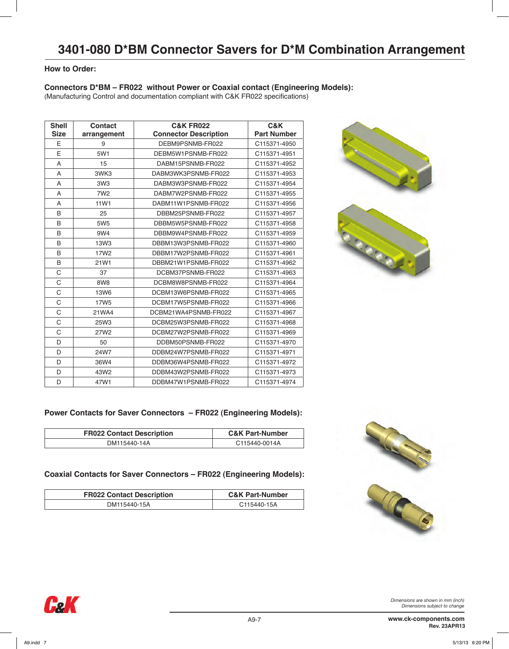### **How to Order:**

### **Connectors D\*BM – FR022 without Power or Coaxial contact (Engineering Models):**

(Manufacturing Control and documentation compliant with C&K FR022 specifications)

| <b>Shell</b> | <b>Contact</b>   | <b>C&amp;K FR022</b>         |                    |  |  |  |  |
|--------------|------------------|------------------------------|--------------------|--|--|--|--|
| <b>Size</b>  | arrangement      | <b>Connector Description</b> | <b>Part Number</b> |  |  |  |  |
| E            | 9                | DEBM9PSNMB-FR022             | C115371-4950       |  |  |  |  |
| E            | 5W1              | DEBM5W1PSNMB-FR022           | C115371-4951       |  |  |  |  |
| A            | 15               | DABM15PSNMB-FR022            | C115371-4952       |  |  |  |  |
| A            | 3WK3             | DABM3WK3PSNMB-FR022          | C115371-4953       |  |  |  |  |
| A            | 3W <sub>3</sub>  | DABM3W3PSNMB-FR022           | C115371-4954       |  |  |  |  |
| A            | 7W <sub>2</sub>  | DABM7W2PSNMB-FR022           | C115371-4955       |  |  |  |  |
| A            | 11W1             | DABM11W1PSNMB-FR022          | C115371-4956       |  |  |  |  |
| B            | 25               | DBBM25PSNMB-FR022            | C115371-4957       |  |  |  |  |
| B            | 5W <sub>5</sub>  | DBBM5W5PSNMB-FR022           | C115371-4958       |  |  |  |  |
| B            | 9W4              | DBBM9W4PSNMB-FR022           | C115371-4959       |  |  |  |  |
| B            | 13W3             | DBBM13W3PSNMB-FR022          | C115371-4960       |  |  |  |  |
| B            | 17W <sub>2</sub> | DBBM17W2PSNMB-FR022          | C115371-4961       |  |  |  |  |
| B            | 21W1             | DBBM21W1PSNMB-FR022          | C115371-4962       |  |  |  |  |
| C            | 37               | DCBM37PSNMB-FR022            | C115371-4963       |  |  |  |  |
| C            | 8W8              | DCBM8W8PSNMB-FR022           | C115371-4964       |  |  |  |  |
| C            | <b>13W6</b>      | DCBM13W6PSNMB-FR022          | C115371-4965       |  |  |  |  |
| C            | 17W <sub>5</sub> | DCBM17W5PSNMB-FR022          | C115371-4966       |  |  |  |  |
| C            | 21WA4            | DCBM21WA4PSNMB-FR022         | C115371-4967       |  |  |  |  |
| C            | 25W3             | DCBM25W3PSNMB-FR022          | C115371-4968       |  |  |  |  |
| C            | 27W2             | DCBM27W2PSNMB-FR022          | C115371-4969       |  |  |  |  |
| D            | 50               | DDBM50PSNMB-FR022            | C115371-4970       |  |  |  |  |
| D            | 24W7             | DDBM24W7PSNMB-FR022          | C115371-4971       |  |  |  |  |
| D            | 36W4             | DDBM36W4PSNMB-FR022          | C115371-4972       |  |  |  |  |
| D            | 43W2             | DDBM43W2PSNMB-FR022          | C115371-4973       |  |  |  |  |
| D            | 47W1             | DDBM47W1PSNMB-FR022          | C115371-4974       |  |  |  |  |



# **Power Contacts for Saver Connectors – FR022 (Engineering Models):**

| <b>FR022 Contact Description</b> | <b>C&amp;K Part-Number</b> |
|----------------------------------|----------------------------|
| DM115440-14A                     | C115440-0014A              |

### **Coaxial Contacts for Saver Connectors – FR022 (Engineering Models):**

| <b>FR022 Contact Description</b> | <b>C&amp;K Part-Number</b> |
|----------------------------------|----------------------------|
| DM115440-15A                     | C115440-15A                |



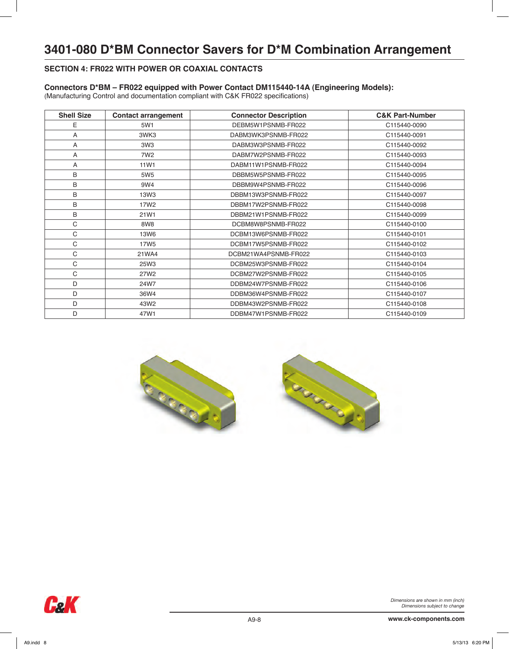# **SECTION 4: FR022 WITH POWER OR COAXIAL CONTACTS**

### **Connectors D\*BM – FR022 equipped with Power Contact DM115440-14A (Engineering Models):**

(Manufacturing Control and documentation compliant with C&K FR022 specifications)

| <b>Shell Size</b> | <b>Contact arrangement</b> | <b>Connector Description</b> | <b>C&amp;K Part-Number</b> |
|-------------------|----------------------------|------------------------------|----------------------------|
| Ε                 | 5W1                        | DEBM5W1PSNMB-FR022           | C115440-0090               |
| A                 | 3WK3                       | DABM3WK3PSNMB-FR022          | C115440-0091               |
| A                 | 3W3                        | DABM3W3PSNMB-FR022           | C115440-0092               |
| Α                 | 7W <sub>2</sub>            | DABM7W2PSNMB-FR022           | C115440-0093               |
| A                 | 11 <sub>W1</sub>           | DABM11W1PSNMB-FR022          | C115440-0094               |
| B                 | 5W <sub>5</sub>            | DBBM5W5PSNMB-FR022           | C115440-0095               |
| B                 | 9W4                        | DBBM9W4PSNMB-FR022           | C115440-0096               |
| B                 | 13W3                       | DBBM13W3PSNMB-FR022          | C115440-0097               |
| B                 | 17W <sub>2</sub>           | DBBM17W2PSNMB-FR022          | C115440-0098               |
| B                 | 21W1                       | DBBM21W1PSNMB-FR022          | C115440-0099               |
| C                 | 8W8                        | DCBM8W8PSNMB-FR022           | C115440-0100               |
| C                 | 13W6                       | DCBM13W6PSNMB-FR022          | C115440-0101               |
| C                 | 17W <sub>5</sub>           | DCBM17W5PSNMB-FR022          | C115440-0102               |
| C                 | 21WA4                      | DCBM21WA4PSNMB-FR022         | C115440-0103               |
| C                 | 25W3                       | DCBM25W3PSNMB-FR022          | C115440-0104               |
| C                 | 27W2                       | DCBM27W2PSNMB-FR022          | C115440-0105               |
| D                 | 24W7                       | DDBM24W7PSNMB-FR022          | C115440-0106               |
| D                 | 36W4                       | DDBM36W4PSNMB-FR022          | C115440-0107               |
| D                 | 43W2                       | DDBM43W2PSNMB-FR022          | C115440-0108               |
| D                 | 47W1                       | DDBM47W1PSNMB-FR022          | C115440-0109               |





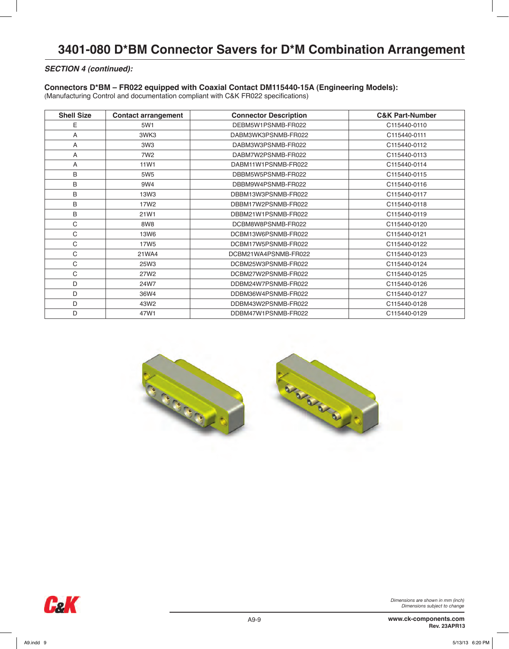### **SECTION 4 (continued):**

#### **Connectors D\*BM – FR022 equipped with Coaxial Contact DM115440-15A (Engineering Models):**

(Manufacturing Control and documentation compliant with C&K FR022 specifications)

| <b>Shell Size</b> | <b>Contact arrangement</b> | <b>Connector Description</b> | <b>C&amp;K Part-Number</b> |
|-------------------|----------------------------|------------------------------|----------------------------|
| E                 | 5W1                        | DEBM5W1PSNMB-FR022           | C115440-0110               |
| A                 | 3WK3                       | DABM3WK3PSNMB-FR022          | C115440-0111               |
| A                 | 3W3                        | DABM3W3PSNMB-FR022           | C115440-0112               |
| A                 | 7W <sub>2</sub>            | DABM7W2PSNMB-FR022           | C115440-0113               |
| A                 | 11W1                       | DABM11W1PSNMB-FR022          | C115440-0114               |
| B                 | 5W <sub>5</sub>            | DBBM5W5PSNMB-FR022           | C115440-0115               |
| B                 | 9W4                        | DBBM9W4PSNMB-FR022           | C115440-0116               |
| B                 | 13W <sub>3</sub>           | DBBM13W3PSNMB-FR022          | C115440-0117               |
| B                 | 17W <sub>2</sub>           | DBBM17W2PSNMB-FR022          | C115440-0118               |
| B                 | 21W1                       | DBBM21W1PSNMB-FR022          | C115440-0119               |
| C                 | 8W <sub>8</sub>            | DCBM8W8PSNMB-FR022           | C115440-0120               |
| C                 | 13W6                       | DCBM13W6PSNMB-FR022          | C115440-0121               |
| C                 | 17W <sub>5</sub>           | DCBM17W5PSNMB-FR022          | C115440-0122               |
| C                 | 21WA4                      | DCBM21WA4PSNMB-FR022         | C115440-0123               |
| C                 | 25W3                       | DCBM25W3PSNMB-FR022          | C115440-0124               |
| C                 | 27W <sub>2</sub>           | DCBM27W2PSNMB-FR022          | C115440-0125               |
| D                 | 24W7                       | DDBM24W7PSNMB-FR022          | C115440-0126               |
| D                 | 36W4                       | DDBM36W4PSNMB-FR022          | C115440-0127               |
| D                 | 43W2                       | DDBM43W2PSNMB-FR022          | C115440-0128               |
| D                 | 47W1                       | DDBM47W1PSNMB-FR022          | C115440-0129               |



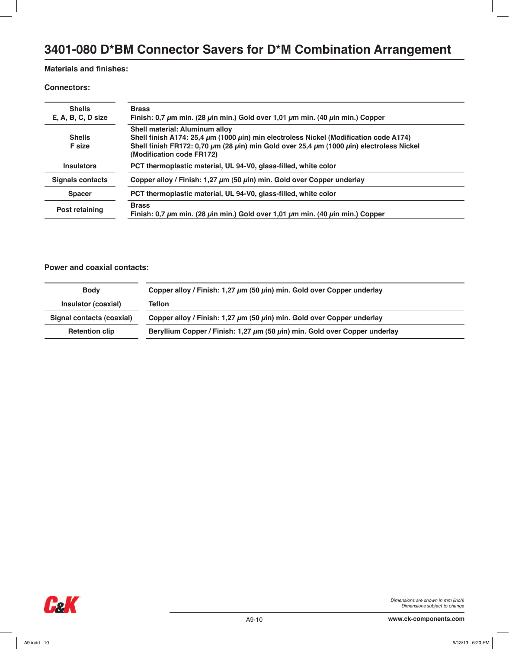# **Materials and finishes:**

#### **Connectors:**

| <b>Shells</b>           | <b>Brass</b>                                                                                                                              |
|-------------------------|-------------------------------------------------------------------------------------------------------------------------------------------|
| $E, A, B, C, D$ size    | Finish: 0,7 $\mu$ m min. (28 $\mu$ in min.) Gold over 1,01 $\mu$ m min. (40 $\mu$ in min.) Copper                                         |
|                         | Shell material: Aluminum alloy                                                                                                            |
| <b>Shells</b>           | Shell finish A174: 25,4 µm (1000 µin) min electroless Nickel (Modification code A174)                                                     |
| <b>F</b> size           | Shell finish FR172: 0,70 $\mu$ m (28 $\mu$ in) min Gold over 25,4 $\mu$ m (1000 $\mu$ in) electroless Nickel<br>(Modification code FR172) |
| <b>Insulators</b>       | PCT thermoplastic material, UL 94-V0, glass-filled, white color                                                                           |
| <b>Signals contacts</b> | Copper alloy / Finish: 1,27 $\mu$ m (50 $\mu$ in) min. Gold over Copper underlay                                                          |
| <b>Spacer</b>           | PCT thermoplastic material, UL 94-V0, glass-filled, white color                                                                           |
| Post retaining          | <b>Brass</b><br>Finish: 0,7 $\mu$ m min. (28 $\mu$ in min.) Gold over 1,01 $\mu$ m min. (40 $\mu$ in min.) Copper                         |
|                         |                                                                                                                                           |

# **Power and coaxial contacts:**

| <b>Body</b>               | Copper alloy / Finish: 1,27 $\mu$ m (50 $\mu$ in) min. Gold over Copper underlay     |  |  |  |  |  |
|---------------------------|--------------------------------------------------------------------------------------|--|--|--|--|--|
| Insulator (coaxial)       | Teflon                                                                               |  |  |  |  |  |
| Signal contacts (coaxial) | Copper alloy / Finish: 1,27 $\mu$ m (50 $\mu$ in) min. Gold over Copper underlay     |  |  |  |  |  |
| <b>Retention clip</b>     | Beryllium Copper / Finish: 1,27 $\mu$ m (50 $\mu$ in) min. Gold over Copper underlay |  |  |  |  |  |
|                           |                                                                                      |  |  |  |  |  |

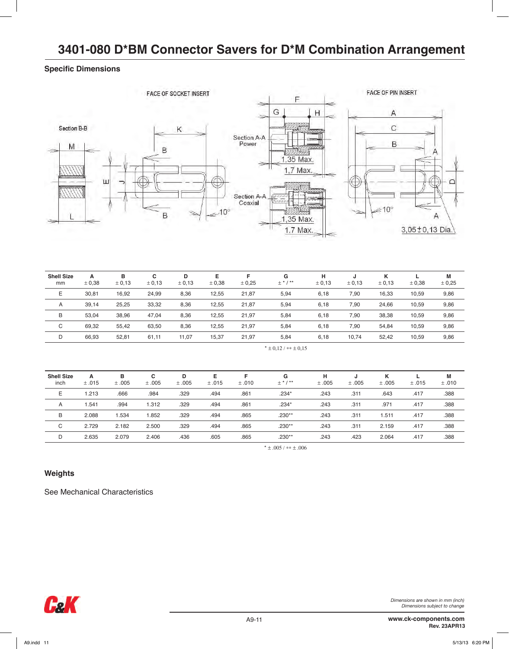# **Specific Dimensions**



| <b>Shell Size</b><br>mm | A<br>± 0.38              | в<br>± 0,13 | c<br>± 0,13 | D<br>± 0,13 | Е<br>± 0.38 | F<br>± 0.25 | G<br>$\pm$ * / ** | н<br>± 0,13 | J<br>± 0.13 | κ<br>± 0,13 | ± 0.38 | M<br>± 0.25 |
|-------------------------|--------------------------|-------------|-------------|-------------|-------------|-------------|-------------------|-------------|-------------|-------------|--------|-------------|
| E                       | 30,81                    | 16.92       | 24,99       | 8,36        | 12,55       | 21,87       | 5,94              | 6,18        | 7,90        | 16,33       | 10,59  | 9,86        |
| A                       | 39,14                    | 25,25       | 33,32       | 8,36        | 12,55       | 21,87       | 5,94              | 6,18        | 7,90        | 24,66       | 10,59  | 9,86        |
| B                       | 53.04                    | 38.96       | 47,04       | 8,36        | 12,55       | 21,97       | 5,84              | 6,18        | 7,90        | 38,38       | 10,59  | 9,86        |
| C                       | 69,32                    | 55,42       | 63,50       | 8,36        | 12,55       | 21,97       | 5,84              | 6,18        | 7,90        | 54,84       | 10,59  | 9,86        |
| D                       | 66.93                    | 52,81       | 61,11       | 11,07       | 15,37       | 21.97       | 5,84              | 6,18        | 10,74       | 52.42       | 10,59  | 9,86        |
|                         | $*$ ± 0.12 / $**$ ± 0.15 |             |             |             |             |             |                   |             |             |             |        |             |

| <b>Shell Size</b><br>inch | A<br>±.015 | в<br>±.005 | C<br>±.005 | D<br>±.005 | Е<br>±.015 | F<br>±.010 | G<br>$\pm$ * / ** | н<br>±.005 | J<br>±.005 | κ<br>±.005 | ±.015 | М<br>±.010 |
|---------------------------|------------|------------|------------|------------|------------|------------|-------------------|------------|------------|------------|-------|------------|
| E                         | 1.213      | .666       | .984       | .329       | .494       | .861       | $.234*$           | .243       | .311       | .643       | .417  | .388       |
| A                         | 1.541      | .994       | 1.312      | .329       | .494       | .861       | $.234*$           | .243       | .311       | .971       | .417  | .388       |
| B                         | 2.088      | 1.534      | .852       | .329       | .494       | .865       | $.230**$          | .243       | .311       | .511       | .417  | .388       |
| C                         | 2.729      | 2.182      | 2.500      | .329       | .494       | .865       | $.230**$          | .243       | .311       | 2.159      | .417  | .388       |
| D                         | 2.635      | 2.079      | 2.406      | .436       | .605       | .865       | $.230**$          | .243       | .423       | 2.064      | .417  | .388       |

\*  $\pm .005 /$  \*\*  $\pm .006$ 

# **Weights**

See Mechanical Characteristics